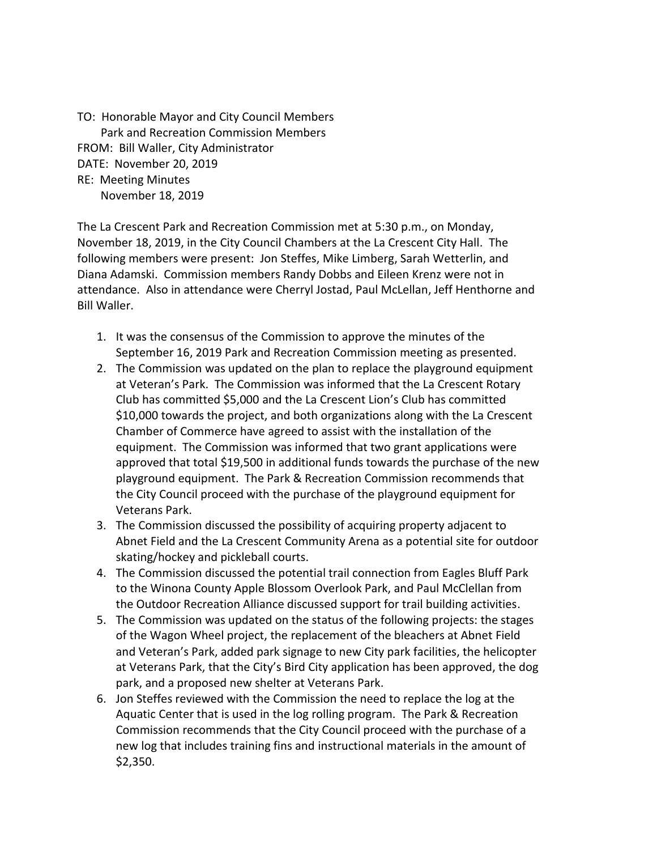TO: Honorable Mayor and City Council Members Park and Recreation Commission Members FROM: Bill Waller, City Administrator DATE: November 20, 2019 RE: Meeting Minutes November 18, 2019

The La Crescent Park and Recreation Commission met at 5:30 p.m., on Monday, November 18, 2019, in the City Council Chambers at the La Crescent City Hall. The following members were present: Jon Steffes, Mike Limberg, Sarah Wetterlin, and Diana Adamski. Commission members Randy Dobbs and Eileen Krenz were not in attendance. Also in attendance were Cherryl Jostad, Paul McLellan, Jeff Henthorne and Bill Waller.

- 1. It was the consensus of the Commission to approve the minutes of the September 16, 2019 Park and Recreation Commission meeting as presented.
- 2. The Commission was updated on the plan to replace the playground equipment at Veteran's Park. The Commission was informed that the La Crescent Rotary Club has committed \$5,000 and the La Crescent Lion's Club has committed \$10,000 towards the project, and both organizations along with the La Crescent Chamber of Commerce have agreed to assist with the installation of the equipment. The Commission was informed that two grant applications were approved that total \$19,500 in additional funds towards the purchase of the new playground equipment. The Park & Recreation Commission recommends that the City Council proceed with the purchase of the playground equipment for Veterans Park.
- 3. The Commission discussed the possibility of acquiring property adjacent to Abnet Field and the La Crescent Community Arena as a potential site for outdoor skating/hockey and pickleball courts.
- 4. The Commission discussed the potential trail connection from Eagles Bluff Park to the Winona County Apple Blossom Overlook Park, and Paul McClellan from the Outdoor Recreation Alliance discussed support for trail building activities.
- 5. The Commission was updated on the status of the following projects: the stages of the Wagon Wheel project, the replacement of the bleachers at Abnet Field and Veteran's Park, added park signage to new City park facilities, the helicopter at Veterans Park, that the City's Bird City application has been approved, the dog park, and a proposed new shelter at Veterans Park.
- 6. Jon Steffes reviewed with the Commission the need to replace the log at the Aquatic Center that is used in the log rolling program. The Park & Recreation Commission recommends that the City Council proceed with the purchase of a new log that includes training fins and instructional materials in the amount of \$2,350.